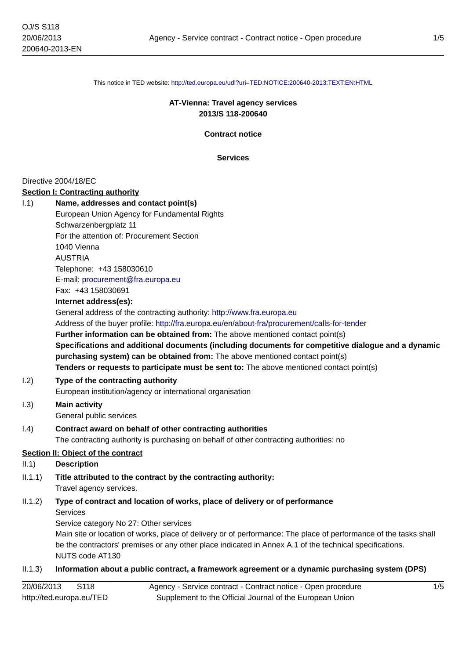This notice in TED website: <http://ted.europa.eu/udl?uri=TED:NOTICE:200640-2013:TEXT:EN:HTML>

# **AT-Vienna: Travel agency services 2013/S 118-200640**

**Contract notice**

**Services**

#### Directive 2004/18/EC

#### **Section I: Contracting authority**

| 1.1) | Name, addresses and contact point(s)         |
|------|----------------------------------------------|
|      | European Union Agency for Fundamental Rights |
|      | Schwarzenbergplatz 11                        |
|      | For the attention of: Procurement Section    |
|      | 1040 Vienna                                  |
|      | <b>AUSTRIA</b>                               |
|      | Telephone: +43 158030610                     |
|      | E-mail: procurement@fra.europa.eu            |
|      | Fax: +43 158030691                           |
|      |                                              |

#### **Internet address(es):**

General address of the contracting authority: <http://www.fra.europa.eu> Address of the buyer profile: <http://fra.europa.eu/en/about-fra/procurement/calls-for-tender> **Further information can be obtained from:** The above mentioned contact point(s) **Specifications and additional documents (including documents for competitive dialogue and a dynamic purchasing system) can be obtained from:** The above mentioned contact point(s) **Tenders or requests to participate must be sent to:** The above mentioned contact point(s)

## I.2) **Type of the contracting authority**

European institution/agency or international organisation

# I.3) **Main activity**

General public services

# I.4) **Contract award on behalf of other contracting authorities**

The contracting authority is purchasing on behalf of other contracting authorities: no

## **Section II: Object of the contract**

## II.1) **Description**

## II.1.1) **Title attributed to the contract by the contracting authority:** Travel agency services.

# II.1.2) **Type of contract and location of works, place of delivery or of performance** Services

Service category No 27: Other services

Main site or location of works, place of delivery or of performance: The place of performance of the tasks shall be the contractors' premises or any other place indicated in Annex A.1 of the technical specifications. NUTS code AT130

## II.1.3) **Information about a public contract, a framework agreement or a dynamic purchasing system (DPS)**

| 20/06/2013<br>S118       | Agency - Service contract - Contract notice - Open procedure |
|--------------------------|--------------------------------------------------------------|
| http://ted.europa.eu/TED | Supplement to the Official Journal of the European Union     |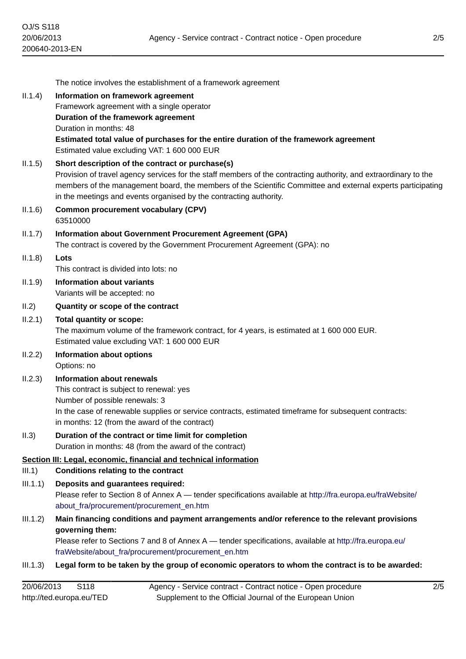|          | The notice involves the establishment of a framework agreement                                                                                                                                                                                                                                                                                            |
|----------|-----------------------------------------------------------------------------------------------------------------------------------------------------------------------------------------------------------------------------------------------------------------------------------------------------------------------------------------------------------|
| II.1.4)  | Information on framework agreement                                                                                                                                                                                                                                                                                                                        |
|          | Framework agreement with a single operator                                                                                                                                                                                                                                                                                                                |
|          | Duration of the framework agreement                                                                                                                                                                                                                                                                                                                       |
|          | Duration in months: 48<br>Estimated total value of purchases for the entire duration of the framework agreement                                                                                                                                                                                                                                           |
|          | Estimated value excluding VAT: 1 600 000 EUR                                                                                                                                                                                                                                                                                                              |
| II.1.5)  | Short description of the contract or purchase(s)<br>Provision of travel agency services for the staff members of the contracting authority, and extraordinary to the<br>members of the management board, the members of the Scientific Committee and external experts participating<br>in the meetings and events organised by the contracting authority. |
| II.1.6)  | <b>Common procurement vocabulary (CPV)</b><br>63510000                                                                                                                                                                                                                                                                                                    |
| II.1.7)  | Information about Government Procurement Agreement (GPA)<br>The contract is covered by the Government Procurement Agreement (GPA): no                                                                                                                                                                                                                     |
| II.1.8)  | Lots                                                                                                                                                                                                                                                                                                                                                      |
|          | This contract is divided into lots: no                                                                                                                                                                                                                                                                                                                    |
| II.1.9)  | <b>Information about variants</b><br>Variants will be accepted: no                                                                                                                                                                                                                                                                                        |
| II.2)    | Quantity or scope of the contract                                                                                                                                                                                                                                                                                                                         |
| II.2.1)  | Total quantity or scope:<br>The maximum volume of the framework contract, for 4 years, is estimated at 1 600 000 EUR.<br>Estimated value excluding VAT: 1 600 000 EUR                                                                                                                                                                                     |
| II.2.2)  | Information about options<br>Options: no                                                                                                                                                                                                                                                                                                                  |
| II.2.3)  | <b>Information about renewals</b>                                                                                                                                                                                                                                                                                                                         |
|          | This contract is subject to renewal: yes                                                                                                                                                                                                                                                                                                                  |
|          | Number of possible renewals: 3<br>In the case of renewable supplies or service contracts, estimated timeframe for subsequent contracts:                                                                                                                                                                                                                   |
|          | in months: 12 (from the award of the contract)                                                                                                                                                                                                                                                                                                            |
| II.3)    | Duration of the contract or time limit for completion<br>Duration in months: 48 (from the award of the contract)                                                                                                                                                                                                                                          |
|          | Section III: Legal, economic, financial and technical information                                                                                                                                                                                                                                                                                         |
| III.1)   | <b>Conditions relating to the contract</b>                                                                                                                                                                                                                                                                                                                |
| III.1.1) | Deposits and guarantees required:<br>Please refer to Section 8 of Annex A — tender specifications available at http://fra.europa.eu/fraWebsite/<br>about fra/procurement/procurement en.htm                                                                                                                                                               |
| III.1.2) | Main financing conditions and payment arrangements and/or reference to the relevant provisions<br>governing them:                                                                                                                                                                                                                                         |
|          | Please refer to Sections 7 and 8 of Annex A — tender specifications, available at http://fra.europa.eu/<br>fraWebsite/about_fra/procurement/procurement_en.htm                                                                                                                                                                                            |
| III.1.3) | Legal form to be taken by the group of economic operators to whom the contract is to be awarded:                                                                                                                                                                                                                                                          |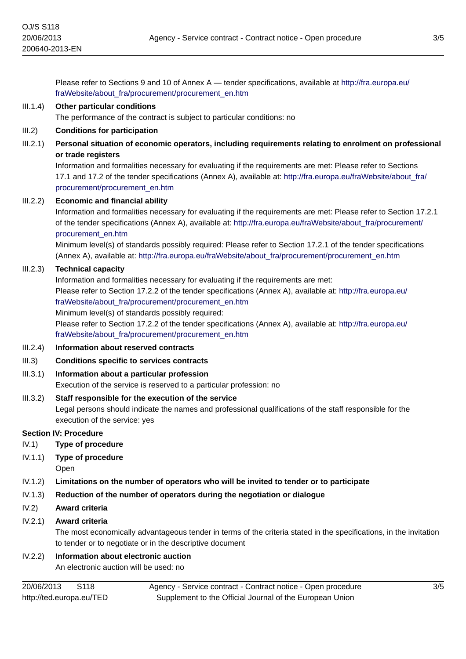Please refer to Sections 9 and 10 of Annex A — tender specifications, available at [http://fra.europa.eu/](http://fra.europa.eu/fraWebsite/about_fra/procurement/procurement_en.htm) [fraWebsite/about\\_fra/procurement/procurement\\_en.htm](http://fra.europa.eu/fraWebsite/about_fra/procurement/procurement_en.htm)

# III.1.4) **Other particular conditions**

The performance of the contract is subject to particular conditions: no

# III.2) **Conditions for participation**

III.2.1) **Personal situation of economic operators, including requirements relating to enrolment on professional or trade registers**

Information and formalities necessary for evaluating if the requirements are met: Please refer to Sections 17.1 and 17.2 of the tender specifications (Annex A), available at: [http://fra.europa.eu/fraWebsite/about\\_fra/](http://fra.europa.eu/fraWebsite/about_fra/procurement/procurement_en.htm) [procurement/procurement\\_en.htm](http://fra.europa.eu/fraWebsite/about_fra/procurement/procurement_en.htm)

#### III.2.2) **Economic and financial ability**

Information and formalities necessary for evaluating if the requirements are met: Please refer to Section 17.2.1 of the tender specifications (Annex A), available at: [http://fra.europa.eu/fraWebsite/about\\_fra/procurement/](http://fra.europa.eu/fraWebsite/about_fra/procurement/procurement_en.htm) [procurement\\_en.htm](http://fra.europa.eu/fraWebsite/about_fra/procurement/procurement_en.htm)

Minimum level(s) of standards possibly required: Please refer to Section 17.2.1 of the tender specifications (Annex A), available at: [http://fra.europa.eu/fraWebsite/about\\_fra/procurement/procurement\\_en.htm](http://fra.europa.eu/fraWebsite/about_fra/procurement/procurement_en.htm)

## III.2.3) **Technical capacity**

Information and formalities necessary for evaluating if the requirements are met: Please refer to Section 17.2.2 of the tender specifications (Annex A), available at: [http://fra.europa.eu/](http://fra.europa.eu/fraWebsite/about_fra/procurement/procurement_en.htm) [fraWebsite/about\\_fra/procurement/procurement\\_en.htm](http://fra.europa.eu/fraWebsite/about_fra/procurement/procurement_en.htm)

Minimum level(s) of standards possibly required:

Please refer to Section 17.2.2 of the tender specifications (Annex A), available at: [http://fra.europa.eu/](http://fra.europa.eu/fraWebsite/about_fra/procurement/procurement_en.htm) [fraWebsite/about\\_fra/procurement/procurement\\_en.htm](http://fra.europa.eu/fraWebsite/about_fra/procurement/procurement_en.htm)

- III.2.4) **Information about reserved contracts**
- III.3) **Conditions specific to services contracts**
- III.3.1) **Information about a particular profession**

Execution of the service is reserved to a particular profession: no

## III.3.2) **Staff responsible for the execution of the service**

Legal persons should indicate the names and professional qualifications of the staff responsible for the execution of the service: yes

## **Section IV: Procedure**

- IV.1) **Type of procedure**
- IV.1.1) **Type of procedure**

Open

- IV.1.2) **Limitations on the number of operators who will be invited to tender or to participate**
- IV.1.3) **Reduction of the number of operators during the negotiation or dialogue**
- IV.2) **Award criteria**

# IV.2.1) **Award criteria**

The most economically advantageous tender in terms of the criteria stated in the specifications, in the invitation to tender or to negotiate or in the descriptive document

## IV.2.2) **Information about electronic auction**

An electronic auction will be used: no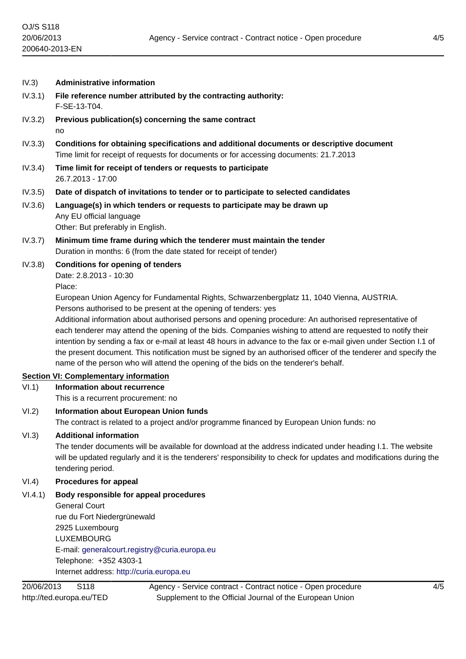- IV.3) **Administrative information**
- IV.3.1) **File reference number attributed by the contracting authority:** F-SE-13-T04.
- IV.3.2) **Previous publication(s) concerning the same contract** no
- IV.3.3) **Conditions for obtaining specifications and additional documents or descriptive document** Time limit for receipt of requests for documents or for accessing documents: 21.7.2013
- IV.3.4) **Time limit for receipt of tenders or requests to participate** 26.7.2013 - 17:00
- IV.3.5) **Date of dispatch of invitations to tender or to participate to selected candidates**
- IV.3.6) **Language(s) in which tenders or requests to participate may be drawn up** Any EU official language Other: But preferably in English.
- IV.3.7) **Minimum time frame during which the tenderer must maintain the tender** Duration in months: 6 (from the date stated for receipt of tender)
- IV.3.8) **Conditions for opening of tenders** Date: 2.8.2013 - 10:30

Place:

European Union Agency for Fundamental Rights, Schwarzenbergplatz 11, 1040 Vienna, AUSTRIA. Persons authorised to be present at the opening of tenders: yes

Additional information about authorised persons and opening procedure: An authorised representative of each tenderer may attend the opening of the bids. Companies wishing to attend are requested to notify their intention by sending a fax or e-mail at least 48 hours in advance to the fax or e-mail given under Section I.1 of the present document. This notification must be signed by an authorised officer of the tenderer and specify the name of the person who will attend the opening of the bids on the tenderer's behalf.

# **Section VI: Complementary information**

VI.1) **Information about recurrence**

This is a recurrent procurement: no

# VI.2) **Information about European Union funds**

The contract is related to a project and/or programme financed by European Union funds: no

# VI.3) **Additional information**

The tender documents will be available for download at the address indicated under heading I.1. The website will be updated regularly and it is the tenderers' responsibility to check for updates and modifications during the tendering period.

# VI.4) **Procedures for appeal**

VI.4.1) **Body responsible for appeal procedures**

General Court rue du Fort Niedergrünewald 2925 Luxembourg LUXEMBOURG E-mail: [generalcourt.registry@curia.europa.eu](mailto:generalcourt.registry@curia.europa.eu) Telephone: +352 4303-1 Internet address: <http://curia.europa.eu>